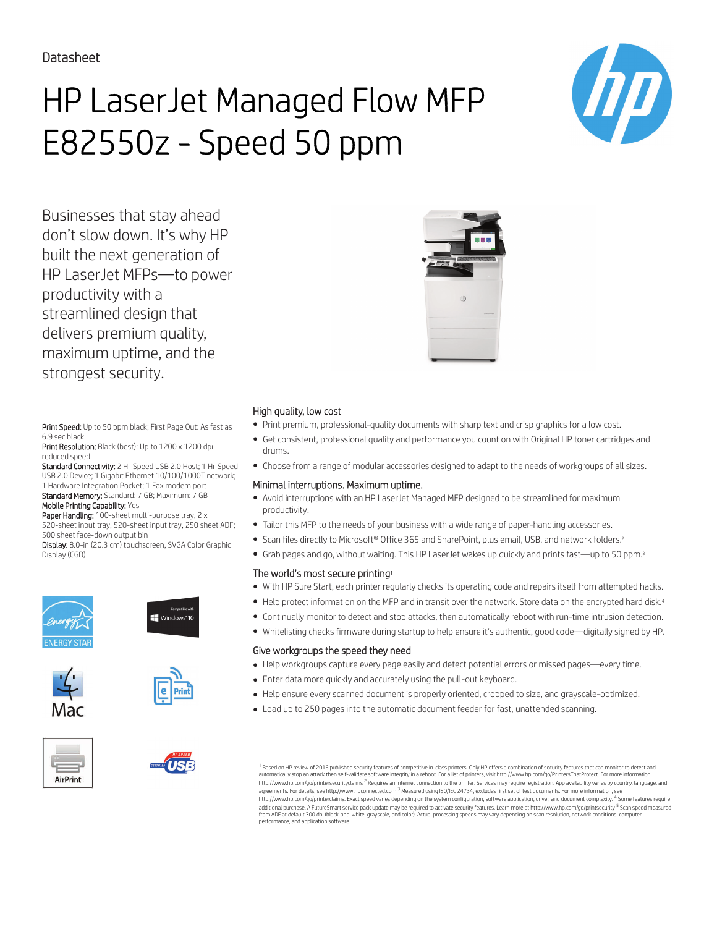# HP LaserJet Managed Flow MFP E82550z - Speed 50 ppm



Businesses that stay ahead don't slow down. It's why HP built the next generation of HP LaserJet MFPs—to power productivity with a streamlined design that delivers premium quality, maximum uptime, and the strongest security.

Print Speed: Up to 50 ppm black; First Page Out: As fast as 6.9 sec black

Print Resolution: Black (best): Up to 1200 x 1200 dpi reduced speed

Standard Connectivity: 2 Hi-Speed USB 2.0 Host; 1 Hi-Speed USB 2.0 Device; 1 Gigabit Ethernet 10/100/1000T network; 1 Hardware Integration Pocket; 1 Fax modem port Standard Memory: Standard: 7 GB; Maximum: 7 GB

Mobile Printing Capability: Yes

Paper Handling: 100-sheet multi-purpose tray, 2 x 520-sheet input tray, 520-sheet input tray, 250 sheet ADF; 500 sheet face-down output bin

Display: 8.0-in (20.3 cm) touchscreen, SVGA Color Graphic Display (CGD)









Mac





### High quality, low cost

- Print premium, professional-quality documents with sharp text and crisp graphics for a low cost.
- Get consistent, professional quality and performance you count on with Original HP toner cartridges and drums.
- Choose from a range of modular accessories designed to adapt to the needs of workgroups of all sizes.

#### Minimal interruptions. Maximum uptime.

- Avoid interruptions with an HP LaserJet Managed MFP designed to be streamlined for maximum productivity.
- Tailor this MFP to the needs of your business with a wide range of paper-handling accessories.
- Scan files directly to Microsoft® Office 365 and SharePoint, plus email, USB, and network folders.<sup>2</sup>
- Grab pages and go, without waiting. This HP LaserJet wakes up quickly and prints fast—up to 50 ppm.<sup>3</sup>

#### The world's most secure printing<sup>1</sup>

- With HP Sure Start, each printer regularly checks its operating code and repairs itself from attempted hacks.
- Help protect information on the MFP and in transit over the network. Store data on the encrypted hard disk.<sup>4</sup>
- Continually monitor to detect and stop attacks, then automatically reboot with run-time intrusion detection.
- Whitelisting checks firmware during startup to help ensure it's authentic, good code—digitally signed by HP.

#### Give workgroups the speed they need

- Help workgroups capture every page easily and detect potential errors or missed pages—every time.
- Enter data more quickly and accurately using the pull-out keyboard.
- Help ensure every scanned document is properly oriented, cropped to size, and grayscale-optimized.
- Load up to 250 pages into the automatic document feeder for fast, unattended scanning.

 $^{\rm 1}$  Based on HP review of 2016 published security features of competitive in-class printers. Only HP offers a combination of security features that can monitor to detect and automatically stop an attack then self-validate software integrity in a reboot. For a list of printers, visit http://www.hp.com/go/PrintersThatProtect. For more information:<br>http://www.hp.com/go/printersecurityclaims <sup>2</sup> R agreements. For details, see http://www.hpconnected.com <sup>3</sup> Measured using ISO/IEC 24734, excludes first set of test documents. For more information, see http://www.hp.com/go/printerclaims. Exact speed varies depending on the system configuration, software application, driver, and document complexity. <sup>4</sup> Some features require<br>additional purchase. A FutureSmart service pack from ADF at default 300 dpi (black-and-white, grayscale, and color). Actual processing speeds may vary depending on scan resolution, network conditions, computer performance, and application software.